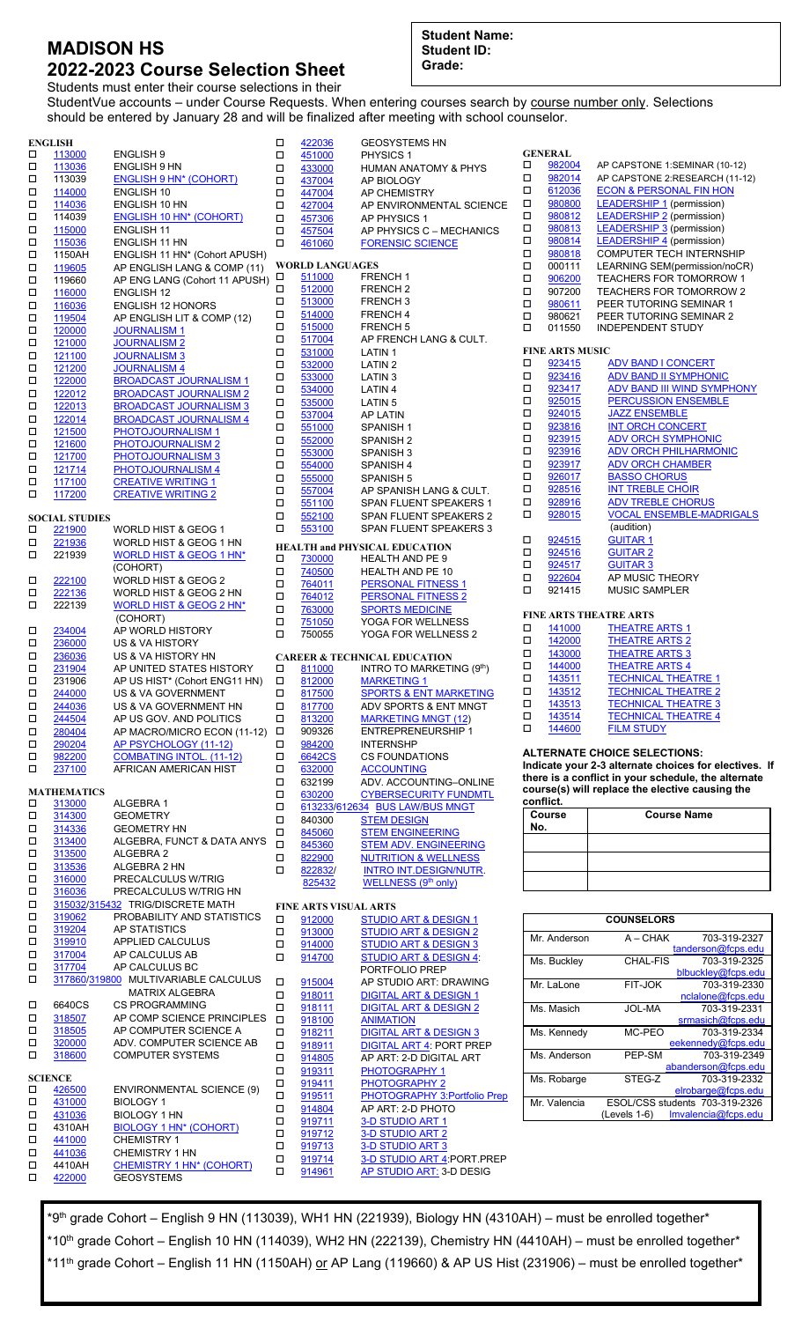## **MADISON HS 2022-2023 Course Selection Sheet**

**Student Name: Student ID: Grade:**

Students must enter their course selections in their StudentVue accounts – under Course Requests. When entering courses search by course number only. Selections should be entered by January 28 and will be finalized after meeting with school counselor.

|             | <b>ENGLISH</b>           |                                                                | □           | 422036                       | <b>GEOSYSTEMS HN</b>                                                 |
|-------------|--------------------------|----------------------------------------------------------------|-------------|------------------------------|----------------------------------------------------------------------|
| □<br>□      | 113000<br>113036         | <b>ENGLISH 9</b><br>ENGLISH 9 HN                               | □<br>о      | 451000<br>433000             | PHYSICS 1<br><b>HUMAN ANATOMY &amp; PHYS</b>                         |
| □           | 113039                   | <b>ENGLISH 9 HN* (COHORT)</b>                                  | о           | 437004                       | AP BIOLOGY                                                           |
| □           | 114000                   | ENGLISH 10                                                     | □           | 447004                       | AP CHEMISTRY                                                         |
| □           | 114036                   | ENGLISH 10 HN                                                  | о           | 427004                       | AP ENVIRONMENTAL SCIENCE                                             |
| □           | 114039                   | <b>ENGLISH 10 HN* (COHORT)</b>                                 | □           | 457306                       | AP PHYSICS 1                                                         |
| □<br>□      | 115000<br>115036         | <b>ENGLISH 11</b><br>ENGLISH 11 HN                             | о<br>$\Box$ | 457504<br>461060             | AP PHYSICS C - MECHANICS                                             |
| $\Box$      | 1150AH                   | ENGLISH 11 HN* (Cohort APUSH)                                  |             |                              | <b>FORENSIC SCIENCE</b>                                              |
| $\Box$      | 119605                   | AP ENGLISH LANG & COMP (11)                                    |             | <b>WORLD LANGUAGES</b>       |                                                                      |
| □           | 119660                   | AP ENG LANG (Cohort 11 APUSH)                                  | □           | 511000                       | <b>FRENCH1</b>                                                       |
| □           | 116000                   | <b>ENGLISH 12</b>                                              | □<br>□      | 512000<br>513000             | FRENCH <sub>2</sub><br>FRENCH <sub>3</sub>                           |
| □           | 116036                   | <b>ENGLISH 12 HONORS</b>                                       | о           | 514000                       | <b>FRENCH4</b>                                                       |
| $\Box$<br>□ | 119504<br>120000         | AP ENGLISH LIT & COMP (12)<br><b>JOURNALISM 1</b>              | □           | 515000                       | <b>FRENCH 5</b>                                                      |
| □           | 121000                   | <b>JOURNALISM 2</b>                                            | □           | 517004                       | AP FRENCH LANG & CULT.                                               |
| □           | 121100                   | <b>JOURNALISM 3</b>                                            | □           | 531000                       | LATIN <sub>1</sub>                                                   |
| □           | 121200                   | <b>JOURNALISM 4</b>                                            | □           | 532000                       | <b>LATIN2</b>                                                        |
| $\Box$      | 122000                   | <b>BROADCAST JOURNALISM 1</b>                                  | □<br>□      | 533000<br>534000             | LATIN <sub>3</sub><br>LATIN 4                                        |
| □           | 122012                   | <b>BROADCAST JOURNALISM 2</b>                                  | □           | 535000                       | LATIN <sub>5</sub>                                                   |
| □<br>□      | 122013<br>122014         | <b>BROADCAST JOURNALISM 3</b><br><b>BROADCAST JOURNALISM 4</b> | □           | 537004                       | AP LATIN                                                             |
| □           | 121500                   | PHOTOJOURNALISM 1                                              | □           | 551000                       | SPANISH 1                                                            |
| $\Box$      | 121600                   | PHOTOJOURNALISM 2                                              | □           | 552000                       | SPANISH 2                                                            |
| □           | 121700                   | PHOTOJOURNALISM 3                                              | □           | 553000                       | SPANISH <sub>3</sub>                                                 |
| □           | 121714                   | PHOTOJOURNALISM 4                                              | □           | 554000                       | SPANISH 4                                                            |
| □           | 117100                   | <b>CREATIVE WRITING 1</b>                                      | □<br>о      | 555000<br>557004             | SPANISH 5<br>AP SPANISH LANG & CULT.                                 |
| о           | 117200                   | <b>CREATIVE WRITING 2</b>                                      | □           | 551100                       | SPAN FLUENT SPEAKERS 1                                               |
|             | <b>SOCIAL STUDIES</b>    |                                                                | □           | 552100                       | SPAN FLUENT SPEAKERS 2                                               |
| □           | <u>221900</u>            | WORLD HIST & GEOG 1                                            | о           | 553100                       | SPAN FLUENT SPEAKERS 3                                               |
| $\Box$      | 221936                   | WORLD HIST & GEOG 1 HN                                         |             |                              | <b>HEALTH and PHYSICAL EDUCATION</b>                                 |
| о           | 221939                   | WORLD HIST & GEOG 1 HN*                                        | □           | 730000                       | <b>HEALTH AND PE 9</b>                                               |
|             |                          | (COHORT)<br>WORLD HIST & GEOG 2                                | □           | 740500                       | HEALTH AND PE 10                                                     |
| □<br>□      | 222100<br>222136         | WORLD HIST & GEOG 2 HN                                         | □           | 764011                       | <b>PERSONAL FITNESS 1</b>                                            |
| $\Box$      | 222139                   | WORLD HIST & GEOG 2 HN*                                        | о<br>$\Box$ | 764012<br>763000             | <b>PERSONAL FITNESS 2</b><br><b>SPORTS MEDICINE</b>                  |
|             |                          | (COHORT)                                                       | о           | 751050                       | YOGA FOR WELLNESS                                                    |
| □           | 234004                   | AP WORLD HISTORY                                               | о           | 750055                       | YOGA FOR WELLNESS 2                                                  |
| □           | 236000                   | <b>US &amp; VA HISTORY</b>                                     |             |                              |                                                                      |
| □           | 236036                   | US & VA HISTORY HN<br>AP UNITED STATES HISTORY                 |             |                              | <b>CAREER &amp; TECHNICAL EDUCATION</b>                              |
| □<br>□      | 231904<br>231906         | AP US HIST* (Cohort ENG11 HN)                                  | □<br>□      | 811000<br>812000             | INTRO TO MARKETING (9th)<br><b>MARKETING 1</b>                       |
| □           | 244000                   | <b>US &amp; VA GOVERNMENT</b>                                  | □           | 817500                       | <b>SPORTS &amp; ENT MARKETING</b>                                    |
| □           | 244036                   | US & VA GOVERNMENT HN                                          | о           | 817700                       | ADV SPORTS & ENT MNGT                                                |
| □           | 244504                   | AP US GOV. AND POLITICS                                        | о           | 813200                       | <b>MARKETING MNGT (12)</b>                                           |
| □           | 280404                   | AP MACRO/MICRO ECON (11-12)                                    | о           | 909326                       | <b>ENTREPRENEURSHIP 1</b>                                            |
| □           | 290204                   | AP PSYCHOLOGY (11-12)                                          | □           | 984200                       | <b>INTERNSHP</b>                                                     |
| П<br>□      | 982200<br>237100         | <b>COMBATING INTOL. (11-12)</b><br>AFRICAN AMERICAN HIST       | □<br>□      | 6642CS<br>632000             | <b>CS FOUNDATIONS</b><br><b>ACCOUNTING</b>                           |
|             |                          |                                                                | о           | 632199                       | ADV. ACCOUNTING-ONLINE                                               |
|             | <b>MATHEMATICS</b>       |                                                                | □           | 630200                       | <b>CYBERSECURITY FUNDMTL</b>                                         |
| □           | 313000                   | ALGEBRA 1                                                      | □           |                              | 613233/612634 BUS LAW/BUS MNGT                                       |
| П<br>□      | 314300<br>314336         | <b>GEOMETRY</b><br><b>GEOMETRY HN</b>                          | □           | 840300                       | <b>STEM DESIGN</b>                                                   |
| □           | 313400                   | ALGEBRA, FUNCT & DATA ANYS                                     | □           | 845060                       | <b>STEM ENGINEERING</b>                                              |
| П           | 313500                   | ALGEBRA 2                                                      | $\Box$<br>□ | 845360<br>822900             | <b>STEM ADV. ENGINEERING</b><br><b>NUTRITION &amp; WELLNESS</b>      |
| □           | 313536                   | ALGEBRA 2 HN                                                   | □           | 822832/                      | <b>INTRO INT.DESIGN/NUTR.</b>                                        |
| П           | 316000                   | PRECALCULUS W/TRIG                                             |             | 825432                       | WELLNESS (9th only)                                                  |
| $\Box$      | 316036                   | PRECALCULUS W/TRIG HN                                          |             |                              |                                                                      |
| П<br>$\Box$ | 319062                   | 315032/315432 TRIG/DISCRETE MATH<br>PROBABILITY AND STATISTICS |             | <b>FINE ARTS VISUAL ARTS</b> |                                                                      |
| П           | 319204                   | AP STATISTICS                                                  | □<br>□      | 912000<br>913000             | <b>STUDIO ART &amp; DESIGN 1</b><br><b>STUDIO ART &amp; DESIGN 2</b> |
| П           | 319910                   | APPLIED CALCULUS                                               | □           | 914000                       | <b>STUDIO ART &amp; DESIGN 3</b>                                     |
| $\Box$      | 317004                   | AP CALCULUS AB                                                 | о           | 914700                       | <b>STUDIO ART &amp; DESIGN 4:</b>                                    |
| П           | 317704                   | AP CALCULUS BC                                                 |             |                              | PORTFOLIO PREP                                                       |
| □           |                          | 317860/319800 MULTIVARIABLE CALCULUS                           | □           | 915004                       | AP STUDIO ART: DRAWING                                               |
|             |                          | <b>MATRIX ALGEBRA</b>                                          | □           | 918011                       | <b>DIGITAL ART &amp; DESIGN 1</b>                                    |
| □<br>П      | 6640CS<br>318507         | <b>CS PROGRAMMING</b><br>AP COMP SCIENCE PRINCIPLES            | □           | 918111                       | <b>DIGITAL ART &amp; DESIGN 2</b>                                    |
| □           | 318505                   | AP COMPUTER SCIENCE A                                          | о<br>□      | 918100<br>918211             | <b>ANIMATION</b><br><b>DIGITAL ART &amp; DESIGN 3</b>                |
| □           | 320000                   | ADV. COMPUTER SCIENCE AB                                       | о           | 918911                       | <b>DIGITAL ART 4: PORT PREP</b>                                      |
| □           | 318600                   | <b>COMPUTER SYSTEMS</b>                                        | □           | 914805                       | AP ART: 2-D DIGITAL ART                                              |
|             |                          |                                                                | □           | 919311                       | PHOTOGRAPHY 1                                                        |
| □           | <b>SCIENCE</b><br>426500 | <b>ENVIRONMENTAL SCIENCE (9)</b>                               | □           | 919411                       | PHOTOGRAPHY 2                                                        |
| □           | 431000                   | <b>BIOLOGY 1</b>                                               | □           | 919511                       | PHOTOGRAPHY 3:Portfolio Prep                                         |
| П           | 431036                   | <b>BIOLOGY 1 HN</b>                                            | □           | 914804                       | AP ART: 2-D PHOTO                                                    |
| □           | 4310AH                   | <b>BIOLOGY 1 HN* (COHORT)</b>                                  | □<br>□      | 919711<br>919712             | 3-D STUDIO ART 1<br>3-D STUDIO ART 2                                 |
| □           | 441000                   | <b>CHEMISTRY 1</b>                                             | □           | 919713                       | 3-D STUDIO ART 3                                                     |
| $\Box$      | 441036                   | <b>CHEMISTRY 1 HN</b>                                          | □           | 919714                       | 3-D STUDIO ART 4: PORT PREP                                          |
| □<br>□      | 4410AH<br>422000         | CHEMISTRY 1 HN* (COHORT)<br><b>GEOSYSTEMS</b>                  | □           | 914961                       | AP STUDIO ART: 3-D DESIG                                             |
|             |                          |                                                                |             |                              |                                                                      |

**GENERAL**<br>
<u>D 982004</u><br>
D 982014  $\begin{array}{ccc}\n\Box & \frac{982004}{982014} & \text{AP CAPSTONE 1:SEMINAR (10-12)} \\
\Box & \frac{982014}{982014} & \text{AP CAPSTONE } 2 \cdot \text{RESEARCH (11-1)}\n\end{array}$ [982014](https://insys.fcps.edu/CourseCatOnline/sharecourse/431/10835/0/0/0/1) AP CAPSTONE 2:RESEARCH (11-12)<br>
<u>980800 ECON & PERSONAL FIN HON</u><br>
<u>980800 LEADERSHIP 1</u> (permission) □  $\frac{612036}{980800}$  ECON & [PERSONAL FIN HON](https://vimeo.com/307120220/51d5a53ed1) [980800](https://insys.fcps.edu/CourseCatOnline/sharecourse/431/2170/0/0/0/1) [LEADERSHIP](https://vimeo.com/307709653/4c2b9ada9e) 1 (permission) □ [980812](https://insys.fcps.edu/CourseCatOnline/sharecourse/431/2170/0/0/0/1) [LEADERSHIP](https://vimeo.com/307709653/4c2b9ada9e) 2 (permission) **No.**

| □<br>980818<br>□<br>LEARNING SEM(permission/noCR)<br>000111<br>□<br>TEACHERS FOR TOMORROW 1<br>906200<br><b>TEACHERS FOR TOMORROW 2</b><br>□<br>907200<br>□<br>PEER TUTORING SEMINAR 1<br>980611<br>□<br>980621<br>PEER TUTORING SEMINAR 2<br>П<br>011550<br><b>INDEPENDENT STUDY</b><br><b>FINE ARTS MUSIC</b><br>□<br>923415<br><b>ADV BAND I CONCERT</b><br><b>ADV BAND II SYMPHONIC</b><br>□<br>923416<br>923417<br><b>ADV BAND III WIND SYMPHONY</b><br>□<br>$\Box$<br><b>PERCUSSION ENSEMBLE</b><br>925015<br>$\Box$<br><b>JAZZ ENSEMBLE</b><br>924015<br>□<br><b>INT ORCH CONCERT</b><br>923816<br>$\Box$<br><b>ADV ORCH SYMPHONIC</b><br>923915<br>□<br><b>ADV ORCH PHILHARMONIC</b><br>923916<br>□<br><b>ADV ORCH CHAMBER</b><br>923917<br>□<br>926017<br><b>BASSO CHORUS</b><br>□<br>928516<br><b>INT TREBLE CHOIR</b><br><b>ADV TREBLE CHORUS</b><br>π<br>928916<br><b>VOCAL ENSEMBLE-MADRIGALS</b><br>□<br>928015<br>(audition)<br><b>GUITAR 1</b><br>□<br>924515<br><b>GUITAR 2</b><br>□<br>924516<br>□<br>924517<br><b>GUITAR 3</b><br>AP MUSIC THEORY<br>□<br>922604<br>□<br>921415<br><b>MUSIC SAMPLER</b><br>FINE ARTS THEATRE ARTS<br>□<br>141000<br><b>THEATRE ARTS 1</b><br>142000<br><b>THEATRE ARTS 2</b><br>□<br>□<br>143000<br><b>THEATRE ARTS 3</b><br>□<br>144000<br><b>THEATRE ARTS 4</b><br>$\Box$<br><b>TECHNICAL THEATRE 1</b><br>143511<br><b>TECHNICAL THEATRE 2</b><br>$\Box$<br>143512<br><b>TECHNICAL THEATRE 3</b><br>□<br>143513<br>Ω<br><b>TECHNICAL THEATRE 4</b><br>143514<br>□<br>144600<br><b>FILM STUDY</b><br><b>ALTERNATE CHOICE SELECTIONS:</b><br>Indicate your 2-3 alternate choices for electives. If<br>there is a conflict in your schedule, the alternate<br>course(s) will replace the elective causing the<br>confiict. | □ | 980813<br>980814 | <b>LEADERSHIP 3</b> (permission)<br><b>LEADERSHIP 4</b> (permission) |
|-------------------------------------------------------------------------------------------------------------------------------------------------------------------------------------------------------------------------------------------------------------------------------------------------------------------------------------------------------------------------------------------------------------------------------------------------------------------------------------------------------------------------------------------------------------------------------------------------------------------------------------------------------------------------------------------------------------------------------------------------------------------------------------------------------------------------------------------------------------------------------------------------------------------------------------------------------------------------------------------------------------------------------------------------------------------------------------------------------------------------------------------------------------------------------------------------------------------------------------------------------------------------------------------------------------------------------------------------------------------------------------------------------------------------------------------------------------------------------------------------------------------------------------------------------------------------------------------------------------------------------------------------------------------------------------------------------------------------------------------------------------------------------|---|------------------|----------------------------------------------------------------------|
|                                                                                                                                                                                                                                                                                                                                                                                                                                                                                                                                                                                                                                                                                                                                                                                                                                                                                                                                                                                                                                                                                                                                                                                                                                                                                                                                                                                                                                                                                                                                                                                                                                                                                                                                                                               |   |                  | COMPUTER TECH INTERNSHIP                                             |
|                                                                                                                                                                                                                                                                                                                                                                                                                                                                                                                                                                                                                                                                                                                                                                                                                                                                                                                                                                                                                                                                                                                                                                                                                                                                                                                                                                                                                                                                                                                                                                                                                                                                                                                                                                               |   |                  |                                                                      |
|                                                                                                                                                                                                                                                                                                                                                                                                                                                                                                                                                                                                                                                                                                                                                                                                                                                                                                                                                                                                                                                                                                                                                                                                                                                                                                                                                                                                                                                                                                                                                                                                                                                                                                                                                                               |   |                  |                                                                      |
|                                                                                                                                                                                                                                                                                                                                                                                                                                                                                                                                                                                                                                                                                                                                                                                                                                                                                                                                                                                                                                                                                                                                                                                                                                                                                                                                                                                                                                                                                                                                                                                                                                                                                                                                                                               |   |                  |                                                                      |
|                                                                                                                                                                                                                                                                                                                                                                                                                                                                                                                                                                                                                                                                                                                                                                                                                                                                                                                                                                                                                                                                                                                                                                                                                                                                                                                                                                                                                                                                                                                                                                                                                                                                                                                                                                               |   |                  |                                                                      |
|                                                                                                                                                                                                                                                                                                                                                                                                                                                                                                                                                                                                                                                                                                                                                                                                                                                                                                                                                                                                                                                                                                                                                                                                                                                                                                                                                                                                                                                                                                                                                                                                                                                                                                                                                                               |   |                  |                                                                      |
|                                                                                                                                                                                                                                                                                                                                                                                                                                                                                                                                                                                                                                                                                                                                                                                                                                                                                                                                                                                                                                                                                                                                                                                                                                                                                                                                                                                                                                                                                                                                                                                                                                                                                                                                                                               |   |                  |                                                                      |
|                                                                                                                                                                                                                                                                                                                                                                                                                                                                                                                                                                                                                                                                                                                                                                                                                                                                                                                                                                                                                                                                                                                                                                                                                                                                                                                                                                                                                                                                                                                                                                                                                                                                                                                                                                               |   |                  |                                                                      |
|                                                                                                                                                                                                                                                                                                                                                                                                                                                                                                                                                                                                                                                                                                                                                                                                                                                                                                                                                                                                                                                                                                                                                                                                                                                                                                                                                                                                                                                                                                                                                                                                                                                                                                                                                                               |   |                  |                                                                      |
|                                                                                                                                                                                                                                                                                                                                                                                                                                                                                                                                                                                                                                                                                                                                                                                                                                                                                                                                                                                                                                                                                                                                                                                                                                                                                                                                                                                                                                                                                                                                                                                                                                                                                                                                                                               |   |                  |                                                                      |
|                                                                                                                                                                                                                                                                                                                                                                                                                                                                                                                                                                                                                                                                                                                                                                                                                                                                                                                                                                                                                                                                                                                                                                                                                                                                                                                                                                                                                                                                                                                                                                                                                                                                                                                                                                               |   |                  |                                                                      |
|                                                                                                                                                                                                                                                                                                                                                                                                                                                                                                                                                                                                                                                                                                                                                                                                                                                                                                                                                                                                                                                                                                                                                                                                                                                                                                                                                                                                                                                                                                                                                                                                                                                                                                                                                                               |   |                  |                                                                      |
|                                                                                                                                                                                                                                                                                                                                                                                                                                                                                                                                                                                                                                                                                                                                                                                                                                                                                                                                                                                                                                                                                                                                                                                                                                                                                                                                                                                                                                                                                                                                                                                                                                                                                                                                                                               |   |                  |                                                                      |
|                                                                                                                                                                                                                                                                                                                                                                                                                                                                                                                                                                                                                                                                                                                                                                                                                                                                                                                                                                                                                                                                                                                                                                                                                                                                                                                                                                                                                                                                                                                                                                                                                                                                                                                                                                               |   |                  |                                                                      |
|                                                                                                                                                                                                                                                                                                                                                                                                                                                                                                                                                                                                                                                                                                                                                                                                                                                                                                                                                                                                                                                                                                                                                                                                                                                                                                                                                                                                                                                                                                                                                                                                                                                                                                                                                                               |   |                  |                                                                      |
|                                                                                                                                                                                                                                                                                                                                                                                                                                                                                                                                                                                                                                                                                                                                                                                                                                                                                                                                                                                                                                                                                                                                                                                                                                                                                                                                                                                                                                                                                                                                                                                                                                                                                                                                                                               |   |                  |                                                                      |
|                                                                                                                                                                                                                                                                                                                                                                                                                                                                                                                                                                                                                                                                                                                                                                                                                                                                                                                                                                                                                                                                                                                                                                                                                                                                                                                                                                                                                                                                                                                                                                                                                                                                                                                                                                               |   |                  |                                                                      |
|                                                                                                                                                                                                                                                                                                                                                                                                                                                                                                                                                                                                                                                                                                                                                                                                                                                                                                                                                                                                                                                                                                                                                                                                                                                                                                                                                                                                                                                                                                                                                                                                                                                                                                                                                                               |   |                  |                                                                      |
|                                                                                                                                                                                                                                                                                                                                                                                                                                                                                                                                                                                                                                                                                                                                                                                                                                                                                                                                                                                                                                                                                                                                                                                                                                                                                                                                                                                                                                                                                                                                                                                                                                                                                                                                                                               |   |                  |                                                                      |
|                                                                                                                                                                                                                                                                                                                                                                                                                                                                                                                                                                                                                                                                                                                                                                                                                                                                                                                                                                                                                                                                                                                                                                                                                                                                                                                                                                                                                                                                                                                                                                                                                                                                                                                                                                               |   |                  |                                                                      |
|                                                                                                                                                                                                                                                                                                                                                                                                                                                                                                                                                                                                                                                                                                                                                                                                                                                                                                                                                                                                                                                                                                                                                                                                                                                                                                                                                                                                                                                                                                                                                                                                                                                                                                                                                                               |   |                  |                                                                      |
|                                                                                                                                                                                                                                                                                                                                                                                                                                                                                                                                                                                                                                                                                                                                                                                                                                                                                                                                                                                                                                                                                                                                                                                                                                                                                                                                                                                                                                                                                                                                                                                                                                                                                                                                                                               |   |                  |                                                                      |
|                                                                                                                                                                                                                                                                                                                                                                                                                                                                                                                                                                                                                                                                                                                                                                                                                                                                                                                                                                                                                                                                                                                                                                                                                                                                                                                                                                                                                                                                                                                                                                                                                                                                                                                                                                               |   |                  |                                                                      |
|                                                                                                                                                                                                                                                                                                                                                                                                                                                                                                                                                                                                                                                                                                                                                                                                                                                                                                                                                                                                                                                                                                                                                                                                                                                                                                                                                                                                                                                                                                                                                                                                                                                                                                                                                                               |   |                  |                                                                      |
|                                                                                                                                                                                                                                                                                                                                                                                                                                                                                                                                                                                                                                                                                                                                                                                                                                                                                                                                                                                                                                                                                                                                                                                                                                                                                                                                                                                                                                                                                                                                                                                                                                                                                                                                                                               |   |                  |                                                                      |
|                                                                                                                                                                                                                                                                                                                                                                                                                                                                                                                                                                                                                                                                                                                                                                                                                                                                                                                                                                                                                                                                                                                                                                                                                                                                                                                                                                                                                                                                                                                                                                                                                                                                                                                                                                               |   |                  |                                                                      |
|                                                                                                                                                                                                                                                                                                                                                                                                                                                                                                                                                                                                                                                                                                                                                                                                                                                                                                                                                                                                                                                                                                                                                                                                                                                                                                                                                                                                                                                                                                                                                                                                                                                                                                                                                                               |   |                  |                                                                      |
|                                                                                                                                                                                                                                                                                                                                                                                                                                                                                                                                                                                                                                                                                                                                                                                                                                                                                                                                                                                                                                                                                                                                                                                                                                                                                                                                                                                                                                                                                                                                                                                                                                                                                                                                                                               |   |                  |                                                                      |
|                                                                                                                                                                                                                                                                                                                                                                                                                                                                                                                                                                                                                                                                                                                                                                                                                                                                                                                                                                                                                                                                                                                                                                                                                                                                                                                                                                                                                                                                                                                                                                                                                                                                                                                                                                               |   |                  |                                                                      |
|                                                                                                                                                                                                                                                                                                                                                                                                                                                                                                                                                                                                                                                                                                                                                                                                                                                                                                                                                                                                                                                                                                                                                                                                                                                                                                                                                                                                                                                                                                                                                                                                                                                                                                                                                                               |   |                  |                                                                      |
|                                                                                                                                                                                                                                                                                                                                                                                                                                                                                                                                                                                                                                                                                                                                                                                                                                                                                                                                                                                                                                                                                                                                                                                                                                                                                                                                                                                                                                                                                                                                                                                                                                                                                                                                                                               |   |                  |                                                                      |
|                                                                                                                                                                                                                                                                                                                                                                                                                                                                                                                                                                                                                                                                                                                                                                                                                                                                                                                                                                                                                                                                                                                                                                                                                                                                                                                                                                                                                                                                                                                                                                                                                                                                                                                                                                               |   |                  |                                                                      |
|                                                                                                                                                                                                                                                                                                                                                                                                                                                                                                                                                                                                                                                                                                                                                                                                                                                                                                                                                                                                                                                                                                                                                                                                                                                                                                                                                                                                                                                                                                                                                                                                                                                                                                                                                                               |   |                  |                                                                      |
|                                                                                                                                                                                                                                                                                                                                                                                                                                                                                                                                                                                                                                                                                                                                                                                                                                                                                                                                                                                                                                                                                                                                                                                                                                                                                                                                                                                                                                                                                                                                                                                                                                                                                                                                                                               |   |                  |                                                                      |
|                                                                                                                                                                                                                                                                                                                                                                                                                                                                                                                                                                                                                                                                                                                                                                                                                                                                                                                                                                                                                                                                                                                                                                                                                                                                                                                                                                                                                                                                                                                                                                                                                                                                                                                                                                               |   |                  |                                                                      |
|                                                                                                                                                                                                                                                                                                                                                                                                                                                                                                                                                                                                                                                                                                                                                                                                                                                                                                                                                                                                                                                                                                                                                                                                                                                                                                                                                                                                                                                                                                                                                                                                                                                                                                                                                                               |   |                  |                                                                      |
|                                                                                                                                                                                                                                                                                                                                                                                                                                                                                                                                                                                                                                                                                                                                                                                                                                                                                                                                                                                                                                                                                                                                                                                                                                                                                                                                                                                                                                                                                                                                                                                                                                                                                                                                                                               |   |                  |                                                                      |
|                                                                                                                                                                                                                                                                                                                                                                                                                                                                                                                                                                                                                                                                                                                                                                                                                                                                                                                                                                                                                                                                                                                                                                                                                                                                                                                                                                                                                                                                                                                                                                                                                                                                                                                                                                               |   |                  |                                                                      |
|                                                                                                                                                                                                                                                                                                                                                                                                                                                                                                                                                                                                                                                                                                                                                                                                                                                                                                                                                                                                                                                                                                                                                                                                                                                                                                                                                                                                                                                                                                                                                                                                                                                                                                                                                                               |   |                  |                                                                      |
|                                                                                                                                                                                                                                                                                                                                                                                                                                                                                                                                                                                                                                                                                                                                                                                                                                                                                                                                                                                                                                                                                                                                                                                                                                                                                                                                                                                                                                                                                                                                                                                                                                                                                                                                                                               |   |                  |                                                                      |
|                                                                                                                                                                                                                                                                                                                                                                                                                                                                                                                                                                                                                                                                                                                                                                                                                                                                                                                                                                                                                                                                                                                                                                                                                                                                                                                                                                                                                                                                                                                                                                                                                                                                                                                                                                               |   |                  |                                                                      |
|                                                                                                                                                                                                                                                                                                                                                                                                                                                                                                                                                                                                                                                                                                                                                                                                                                                                                                                                                                                                                                                                                                                                                                                                                                                                                                                                                                                                                                                                                                                                                                                                                                                                                                                                                                               |   |                  |                                                                      |
| Course                                                                                                                                                                                                                                                                                                                                                                                                                                                                                                                                                                                                                                                                                                                                                                                                                                                                                                                                                                                                                                                                                                                                                                                                                                                                                                                                                                                                                                                                                                                                                                                                                                                                                                                                                                        |   |                  | Course Name                                                          |

| Course<br>No. | <b>Course Name</b> |
|---------------|--------------------|
|               |                    |
|               |                    |
|               |                    |

|              | <b>COUNSELORS</b> |                                |
|--------------|-------------------|--------------------------------|
| Mr. Anderson | $A - CHAK$        | 703-319-2327                   |
|              |                   | tanderson@fcps.edu             |
| Ms. Buckley  | CHAL-FIS          | 703-319-2325                   |
|              |                   | blbucklev@fcps.edu             |
| Mr. LaLone   | FIT-JOK           | 703-319-2330                   |
|              |                   | nclalone@fcps.edu              |
| Ms Masich    | JOL-MA            | 703-319-2331                   |
|              |                   | srmasich@fcps.edu              |
| Ms. Kennedy  | MC-PEO            | 703-319-2334                   |
|              |                   | eekennedv@fcps.edu             |
| Ms. Anderson | PEP-SM            | 703-319-2349                   |
|              |                   | abanderson@fcps.edu            |
| Ms. Robarge  | STEG-Z            | 703-319-2332                   |
|              |                   | elrobarge@fcps.edu             |
| Mr. Valencia |                   | ESOL/CSS students 703-319-2326 |
|              | (Levels 1-6)      | Imvalencia@fcps.edu            |

\*9th grade Cohort – English 9 HN (113039), WH1 HN (221939), Biology HN (4310AH) – must be enrolled together\* \*10th grade Cohort – English 10 HN (114039), WH2 HN (222139), Chemistry HN (4410AH) – must be enrolled together\* \*11<sup>th</sup> grade Cohort – English 11 HN (1150AH) <u>or</u> AP Lang (119660) & AP US Hist (231906) – must be enrolled together\*